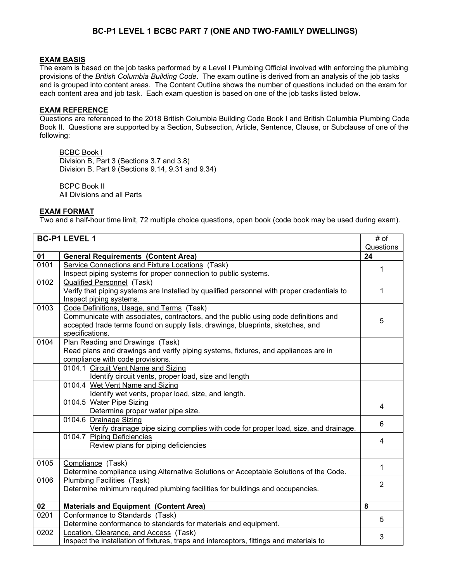### **BC-P1 LEVEL 1 BCBC PART 7 (ONE AND TWO-FAMILY DWELLINGS)**

#### **EXAM BASIS**

The exam is based on the job tasks performed by a Level I Plumbing Official involved with enforcing the plumbing provisions of the *British Columbia Building Code*. The exam outline is derived from an analysis of the job tasks and is grouped into content areas. The Content Outline shows the number of questions included on the exam for each content area and job task. Each exam question is based on one of the job tasks listed below.

### **EXAM REFERENCE**

Questions are referenced to the 2018 British Columbia Building Code Book I and British Columbia Plumbing Code Book II. Questions are supported by a Section, Subsection, Article, Sentence, Clause, or Subclause of one of the following:

BCBC Book I Division B, Part 3 (Sections 3.7 and 3.8) Division B, Part 9 (Sections 9.14, 9.31 and 9.34)

BCPC Book II All Divisions and all Parts

#### **EXAM FORMAT**

Two and a half-hour time limit, 72 multiple choice questions, open book (code book may be used during exam).

| <b>BC-P1 LEVEL 1</b> |                                                                                            | # of           |
|----------------------|--------------------------------------------------------------------------------------------|----------------|
|                      |                                                                                            | Questions      |
| 01                   | <b>General Requirements (Content Area)</b>                                                 | 24             |
| 0101                 | Service Connections and Fixture Locations (Task)                                           | 1              |
|                      | Inspect piping systems for proper connection to public systems.                            |                |
| 0102                 | <b>Qualified Personnel</b> (Task)                                                          |                |
|                      | Verify that piping systems are Installed by qualified personnel with proper credentials to | 1              |
|                      | Inspect piping systems.                                                                    |                |
| 0103                 | Code Definitions, Usage, and Terms (Task)                                                  |                |
|                      | Communicate with associates, contractors, and the public using code definitions and        | 5              |
|                      | accepted trade terms found on supply lists, drawings, blueprints, sketches, and            |                |
|                      | specifications.                                                                            |                |
| 0104                 | Plan Reading and Drawings (Task)                                                           |                |
|                      | Read plans and drawings and verify piping systems, fixtures, and appliances are in         |                |
|                      | compliance with code provisions.                                                           |                |
|                      | 0104.1 Circuit Vent Name and Sizing                                                        |                |
|                      | Identify circuit vents, proper load, size and length                                       |                |
|                      | 0104.4 Wet Vent Name and Sizing                                                            |                |
|                      | Identify wet vents, proper load, size, and length.                                         |                |
|                      | 0104.5 Water Pipe Sizing                                                                   | 4              |
|                      | Determine proper water pipe size.                                                          |                |
|                      | 0104.6 Drainage Sizing                                                                     | 6              |
|                      | Verify drainage pipe sizing complies with code for proper load, size, and drainage.        |                |
|                      | 0104.7 Piping Deficiencies                                                                 | 4              |
|                      | Review plans for piping deficiencies                                                       |                |
|                      |                                                                                            |                |
| 0105                 | Compliance (Task)                                                                          | 1              |
|                      | Determine compliance using Alternative Solutions or Acceptable Solutions of the Code.      |                |
| 0106                 | <b>Plumbing Facilities (Task)</b>                                                          | $\overline{2}$ |
|                      | Determine minimum required plumbing facilities for buildings and occupancies.              |                |
|                      |                                                                                            |                |
| 02                   | <b>Materials and Equipment (Content Area)</b>                                              | 8              |
| 0201                 | Conformance to Standards (Task)                                                            | 5              |
|                      | Determine conformance to standards for materials and equipment.                            |                |
| 0202                 | Location, Clearance, and Access (Task)                                                     | 3              |
|                      | Inspect the installation of fixtures, traps and interceptors, fittings and materials to    |                |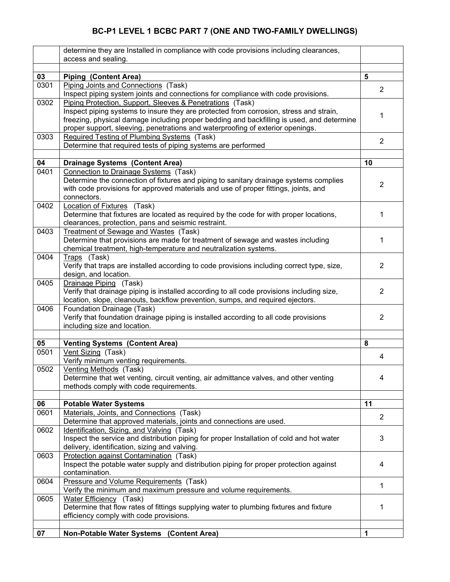# **BC-P1 LEVEL 1 BCBC PART 7 (ONE AND TWO-FAMILY DWELLINGS)**

|      | determine they are Installed in compliance with code provisions including clearances,<br>access and sealing.                                                                 |                |
|------|------------------------------------------------------------------------------------------------------------------------------------------------------------------------------|----------------|
|      |                                                                                                                                                                              |                |
| 03   | <b>Piping (Content Area)</b>                                                                                                                                                 | 5              |
| 0301 | Piping Joints and Connections (Task)                                                                                                                                         |                |
|      | Inspect piping system joints and connections for compliance with code provisions.                                                                                            | 2              |
| 0302 | Piping Protection, Support, Sleeves & Penetrations (Task)                                                                                                                    |                |
|      | Inspect piping systems to insure they are protected from corrosion, stress and strain,                                                                                       | 1              |
|      | freezing, physical damage including proper bedding and backfilling is used, and determine                                                                                    |                |
|      | proper support, sleeving, penetrations and waterproofing of exterior openings.                                                                                               |                |
| 0303 | Required Testing of Plumbing Systems (Task)                                                                                                                                  | $\overline{2}$ |
|      | Determine that required tests of piping systems are performed                                                                                                                |                |
|      |                                                                                                                                                                              | 10             |
| 04   | <b>Drainage Systems (Content Area)</b>                                                                                                                                       |                |
| 0401 | Connection to Drainage Systems (Task)                                                                                                                                        |                |
|      | Determine the connection of fixtures and piping to sanitary drainage systems complies<br>with code provisions for approved materials and use of proper fittings, joints, and | 2              |
|      | connectors.                                                                                                                                                                  |                |
| 0402 | Location of Fixtures (Task)                                                                                                                                                  |                |
|      | Determine that fixtures are located as required by the code for with proper locations,                                                                                       | 1              |
|      | clearances, protection, pans and seismic restraint.                                                                                                                          |                |
| 0403 | Treatment of Sewage and Wastes (Task)                                                                                                                                        |                |
|      | Determine that provisions are made for treatment of sewage and wastes including                                                                                              | 1              |
|      | chemical treatment, high-temperature and neutralization systems.                                                                                                             |                |
| 0404 | Traps (Task)                                                                                                                                                                 |                |
|      | Verify that traps are installed according to code provisions including correct type, size,                                                                                   | 2              |
|      | design, and location.                                                                                                                                                        |                |
| 0405 | Drainage Piping (Task)                                                                                                                                                       |                |
|      | Verify that drainage piping is installed according to all code provisions including size,                                                                                    | $\overline{2}$ |
|      | location, slope, cleanouts, backflow prevention, sumps, and required ejectors.                                                                                               |                |
| 0406 | Foundation Drainage (Task)                                                                                                                                                   |                |
|      | Verify that foundation drainage piping is installed according to all code provisions                                                                                         | $\overline{2}$ |
|      | including size and location.                                                                                                                                                 |                |
| 05   |                                                                                                                                                                              | 8              |
| 0501 | <b>Venting Systems (Content Area)</b><br>Vent Sizing (Task)                                                                                                                  |                |
|      | Verify minimum venting requirements.                                                                                                                                         | 4              |
| 0502 | Venting Methods (Task)                                                                                                                                                       |                |
|      | Determine that wet venting, circuit venting, air admittance valves, and other venting                                                                                        | 4              |
|      | methods comply with code requirements.                                                                                                                                       |                |
|      |                                                                                                                                                                              |                |
| 06   | <b>Potable Water Systems</b>                                                                                                                                                 | 11             |
| 0601 | Materials, Joints, and Connections (Task)                                                                                                                                    |                |
|      | Determine that approved materials, joints and connections are used.                                                                                                          | 2              |
| 0602 | Identification, Sizing, and Valving (Task)                                                                                                                                   |                |
|      | Inspect the service and distribution piping for proper Installation of cold and hot water                                                                                    | 3              |
|      | delivery, identification, sizing and valving.                                                                                                                                |                |
| 0603 | Protection against Contamination (Task)                                                                                                                                      |                |
|      | Inspect the potable water supply and distribution piping for proper protection against                                                                                       | 4              |
|      | contamination.                                                                                                                                                               |                |
| 0604 | Pressure and Volume Requirements (Task)                                                                                                                                      | 1              |
|      | Verify the minimum and maximum pressure and volume requirements.                                                                                                             |                |
| 0605 | Water Efficiency (Task)                                                                                                                                                      |                |
|      | Determine that flow rates of fittings supplying water to plumbing fixtures and fixture                                                                                       | 1              |
|      | efficiency comply with code provisions.                                                                                                                                      |                |
| 07   | <b>Non-Potable Water Systems</b><br>(Content Area)                                                                                                                           | 1              |
|      |                                                                                                                                                                              |                |